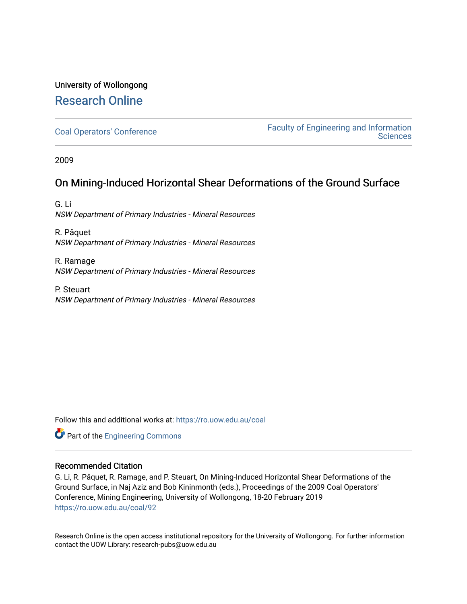# University of Wollongong [Research Online](https://ro.uow.edu.au/)

[Coal Operators' Conference](https://ro.uow.edu.au/coal) [Faculty of Engineering and Information](https://ro.uow.edu.au/eis)  **Sciences** 

2009

### On Mining-Induced Horizontal Shear Deformations of the Ground Surface

G. Li NSW Department of Primary Industries - Mineral Resources

R. Pâquet NSW Department of Primary Industries - Mineral Resources

R. Ramage NSW Department of Primary Industries - Mineral Resources

P. Steuart NSW Department of Primary Industries - Mineral Resources

Follow this and additional works at: [https://ro.uow.edu.au/coal](https://ro.uow.edu.au/coal?utm_source=ro.uow.edu.au%2Fcoal%2F92&utm_medium=PDF&utm_campaign=PDFCoverPages) 



#### Recommended Citation

G. Li, R. Pâquet, R. Ramage, and P. Steuart, On Mining-Induced Horizontal Shear Deformations of the Ground Surface, in Naj Aziz and Bob Kininmonth (eds.), Proceedings of the 2009 Coal Operators' Conference, Mining Engineering, University of Wollongong, 18-20 February 2019 [https://ro.uow.edu.au/coal/92](https://ro.uow.edu.au/coal/92?utm_source=ro.uow.edu.au%2Fcoal%2F92&utm_medium=PDF&utm_campaign=PDFCoverPages) 

Research Online is the open access institutional repository for the University of Wollongong. For further information contact the UOW Library: research-pubs@uow.edu.au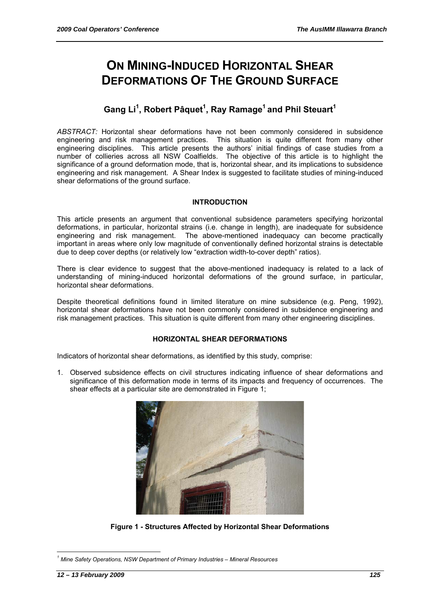# **ON MINING-INDUCED HORIZONTAL SHEAR DEFORMATIONS OF THE GROUND SURFACE**

## Gang Li<sup>1</sup>, Robert Pâquet<sup>1</sup>, Ray Ramage<sup>1</sup> and Phil Steuart<sup>1</sup>

*ABSTRACT:* Horizontal shear deformations have not been commonly considered in subsidence engineering and risk management practices. This situation is quite different from many other engineering disciplines. This article presents the authors' initial findings of case studies from a number of collieries across all NSW Coalfields. The objective of this article is to highlight the significance of a ground deformation mode, that is, horizontal shear, and its implications to subsidence engineering and risk management. A Shear Index is suggested to facilitate studies of mining-induced shear deformations of the ground surface.

#### **INTRODUCTION**

This article presents an argument that conventional subsidence parameters specifying horizontal deformations, in particular, horizontal strains (i.e. change in length), are inadequate for subsidence engineering and risk management. The above-mentioned inadequacy can become practically important in areas where only low magnitude of conventionally defined horizontal strains is detectable due to deep cover depths (or relatively low "extraction width-to-cover depth" ratios).

There is clear evidence to suggest that the above-mentioned inadequacy is related to a lack of understanding of mining-induced horizontal deformations of the ground surface, in particular, horizontal shear deformations.

Despite theoretical definitions found in limited literature on mine subsidence (e.g. Peng, 1992), horizontal shear deformations have not been commonly considered in subsidence engineering and risk management practices. This situation is quite different from many other engineering disciplines.

#### **HORIZONTAL SHEAR DEFORMATIONS**

Indicators of horizontal shear deformations, as identified by this study, comprise:

1. Observed subsidence effects on civil structures indicating influence of shear deformations and significance of this deformation mode in terms of its impacts and frequency of occurrences. The shear effects at a particular site are demonstrated in Figure 1;



**Figure 1 - Structures Affected by Horizontal Shear Deformations** 

 $\overline{a}$ 

*<sup>1</sup> Mine Safety Operations, NSW Department of Primary Industries – Mineral Resources*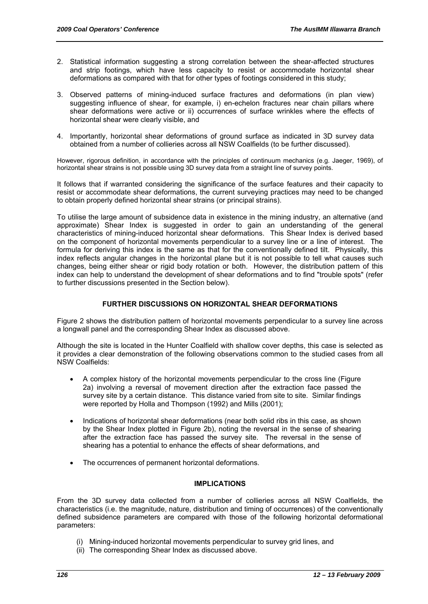- 2. Statistical information suggesting a strong correlation between the shear-affected structures and strip footings, which have less capacity to resist or accommodate horizontal shear deformations as compared with that for other types of footings considered in this study;
- 3. Observed patterns of mining-induced surface fractures and deformations (in plan view) suggesting influence of shear, for example, i) en-echelon fractures near chain pillars where shear deformations were active or ii) occurrences of surface wrinkles where the effects of horizontal shear were clearly visible, and
- 4. Importantly, horizontal shear deformations of ground surface as indicated in 3D survey data obtained from a number of collieries across all NSW Coalfields (to be further discussed).

However, rigorous definition, in accordance with the principles of continuum mechanics (e.g. Jaeger, 1969), of horizontal shear strains is not possible using 3D survey data from a straight line of survey points.

It follows that if warranted considering the significance of the surface features and their capacity to resist or accommodate shear deformations, the current surveying practices may need to be changed to obtain properly defined horizontal shear strains (or principal strains).

To utilise the large amount of subsidence data in existence in the mining industry, an alternative (and approximate) Shear Index is suggested in order to gain an understanding of the general characteristics of mining-induced horizontal shear deformations. This Shear Index is derived based on the component of horizontal movements perpendicular to a survey line or a line of interest. The formula for deriving this index is the same as that for the conventionally defined tilt. Physically, this index reflects angular changes in the horizontal plane but it is not possible to tell what causes such changes, being either shear or rigid body rotation or both. However, the distribution pattern of this index can help to understand the development of shear deformations and to find "trouble spots" (refer to further discussions presented in the Section below).

#### **FURTHER DISCUSSIONS ON HORIZONTAL SHEAR DEFORMATIONS**

Figure 2 shows the distribution pattern of horizontal movements perpendicular to a survey line across a longwall panel and the corresponding Shear Index as discussed above.

Although the site is located in the Hunter Coalfield with shallow cover depths, this case is selected as it provides a clear demonstration of the following observations common to the studied cases from all NSW Coalfields:

- A complex history of the horizontal movements perpendicular to the cross line (Figure 2a) involving a reversal of movement direction after the extraction face passed the survey site by a certain distance. This distance varied from site to site. Similar findings were reported by Holla and Thompson (1992) and Mills (2001);
- Indications of horizontal shear deformations (near both solid ribs in this case, as shown by the Shear Index plotted in Figure 2b), noting the reversal in the sense of shearing after the extraction face has passed the survey site. The reversal in the sense of shearing has a potential to enhance the effects of shear deformations, and
- The occurrences of permanent horizontal deformations.

#### **IMPLICATIONS**

From the 3D survey data collected from a number of collieries across all NSW Coalfields, the characteristics (i.e. the magnitude, nature, distribution and timing of occurrences) of the conventionally defined subsidence parameters are compared with those of the following horizontal deformational parameters:

- (i) Mining-induced horizontal movements perpendicular to survey grid lines, and
- (ii) The corresponding Shear Index as discussed above.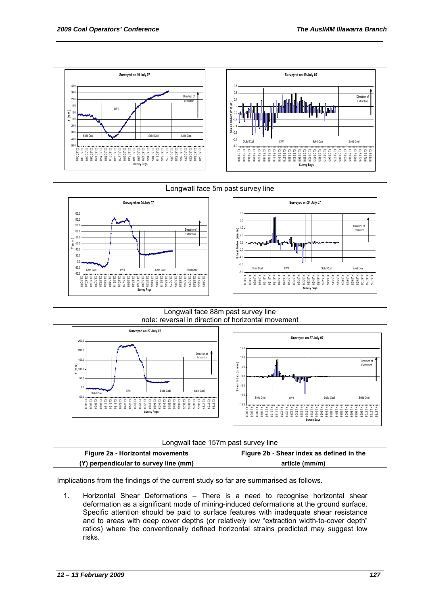

Implications from the findings of the current study so far are summarised as follows.

1. Horizontal Shear Deformations – There is a need to recognise horizontal shear deformation as a significant mode of mining-induced deformations at the ground surface. Specific attention should be paid to surface features with inadequate shear resistance and to areas with deep cover depths (or relatively low "extraction width-to-cover depth" ratios) where the conventionally defined horizontal strains predicted may suggest low risks.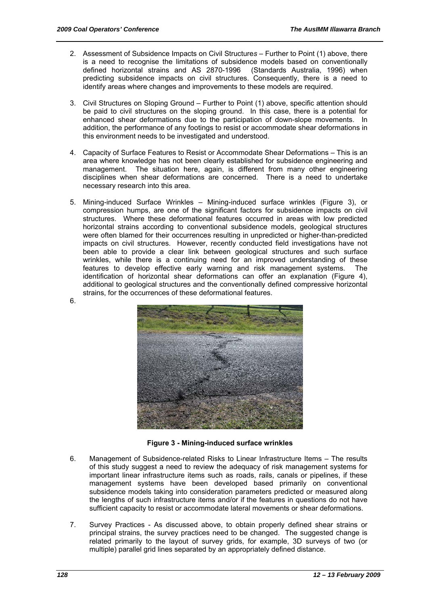- 2. Assessment of Subsidence Impacts on Civil Structure*s* Further to Point (1) above, there is a need to recognise the limitations of subsidence models based on conventionally defined horizontal strains and AS 2870-1996 (Standards Australia, 1996) when defined horizontal strains and AS 2870-1996 predicting subsidence impacts on civil structures. Consequently, there is a need to identify areas where changes and improvements to these models are required.
- 3. Civil Structures on Sloping Ground Further to Point (1) above, specific attention should be paid to civil structures on the sloping ground. In this case, there is a potential for enhanced shear deformations due to the participation of down-slope movements. In addition, the performance of any footings to resist or accommodate shear deformations in this environment needs to be investigated and understood.
- 4. Capacity of Surface Features to Resist or Accommodate Shear Deformations This is an area where knowledge has not been clearly established for subsidence engineering and management. The situation here, again, is different from many other engineering disciplines when shear deformations are concerned. There is a need to undertake necessary research into this area.
- 5. Mining-induced Surface Wrinkles Mining-induced surface wrinkles (Figure 3), or compression humps, are one of the significant factors for subsidence impacts on civil structures. Where these deformational features occurred in areas with low predicted horizontal strains according to conventional subsidence models, geological structures were often blamed for their occurrences resulting in unpredicted or higher-than-predicted impacts on civil structures. However, recently conducted field investigations have not been able to provide a clear link between geological structures and such surface wrinkles, while there is a continuing need for an improved understanding of these features to develop effective early warning and risk management systems. The identification of horizontal shear deformations can offer an explanation (Figure 4), additional to geological structures and the conventionally defined compressive horizontal strains, for the occurrences of these deformational features.



**Figure 3 - Mining-induced surface wrinkles** 

- 6. Management of Subsidence-related Risks to Linear Infrastructure Items The results of this study suggest a need to review the adequacy of risk management systems for important linear infrastructure items such as roads, rails, canals or pipelines, if these management systems have been developed based primarily on conventional subsidence models taking into consideration parameters predicted or measured along the lengths of such infrastructure items and/or if the features in questions do not have sufficient capacity to resist or accommodate lateral movements or shear deformations.
- 7. Survey Practices As discussed above, to obtain properly defined shear strains or principal strains, the survey practices need to be changed. The suggested change is related primarily to the layout of survey grids, for example, 3D surveys of two (or multiple) parallel grid lines separated by an appropriately defined distance.

6.